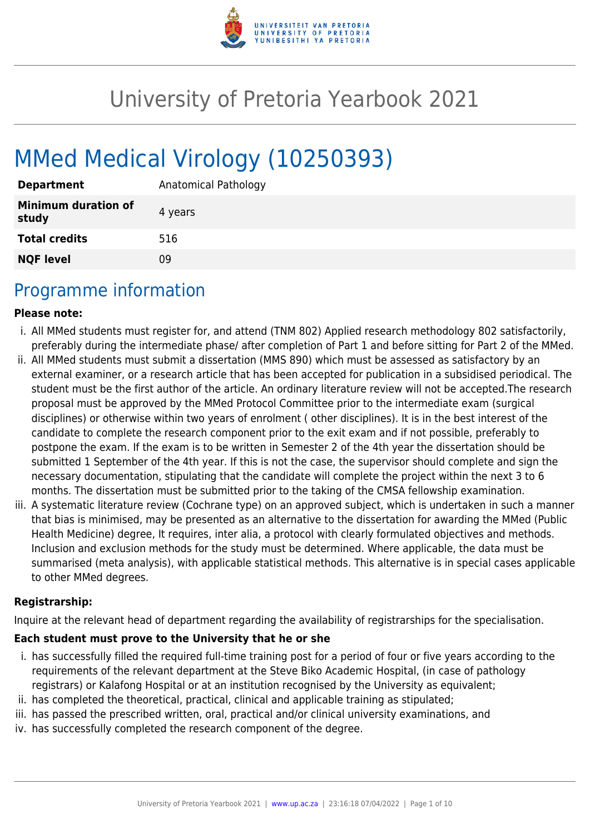

# University of Pretoria Yearbook 2021

# MMed Medical Virology (10250393)

| <b>Department</b>                   | Anatomical Pathology |
|-------------------------------------|----------------------|
| <b>Minimum duration of</b><br>study | 4 years              |
| <b>Total credits</b>                | 516                  |
| <b>NQF level</b>                    | 09                   |

### Programme information

#### **Please note:**

- i. All MMed students must register for, and attend (TNM 802) Applied research methodology 802 satisfactorily, preferably during the intermediate phase/ after completion of Part 1 and before sitting for Part 2 of the MMed.
- ii. All MMed students must submit a dissertation (MMS 890) which must be assessed as satisfactory by an external examiner, or a research article that has been accepted for publication in a subsidised periodical. The student must be the first author of the article. An ordinary literature review will not be accepted.The research proposal must be approved by the MMed Protocol Committee prior to the intermediate exam (surgical disciplines) or otherwise within two years of enrolment ( other disciplines). It is in the best interest of the candidate to complete the research component prior to the exit exam and if not possible, preferably to postpone the exam. If the exam is to be written in Semester 2 of the 4th year the dissertation should be submitted 1 September of the 4th year. If this is not the case, the supervisor should complete and sign the necessary documentation, stipulating that the candidate will complete the project within the next 3 to 6 months. The dissertation must be submitted prior to the taking of the CMSA fellowship examination.
- iii. A systematic literature review (Cochrane type) on an approved subject, which is undertaken in such a manner that bias is minimised, may be presented as an alternative to the dissertation for awarding the MMed (Public Health Medicine) degree, It requires, inter alia, a protocol with clearly formulated objectives and methods. Inclusion and exclusion methods for the study must be determined. Where applicable, the data must be summarised (meta analysis), with applicable statistical methods. This alternative is in special cases applicable to other MMed degrees.

#### **Registrarship:**

Inquire at the relevant head of department regarding the availability of registrarships for the specialisation.

#### **Each student must prove to the University that he or she**

- i. has successfully filled the required full-time training post for a period of four or five years according to the requirements of the relevant department at the Steve Biko Academic Hospital, (in case of pathology registrars) or Kalafong Hospital or at an institution recognised by the University as equivalent;
- ii. has completed the theoretical, practical, clinical and applicable training as stipulated;
- iii. has passed the prescribed written, oral, practical and/or clinical university examinations, and
- iv. has successfully completed the research component of the degree.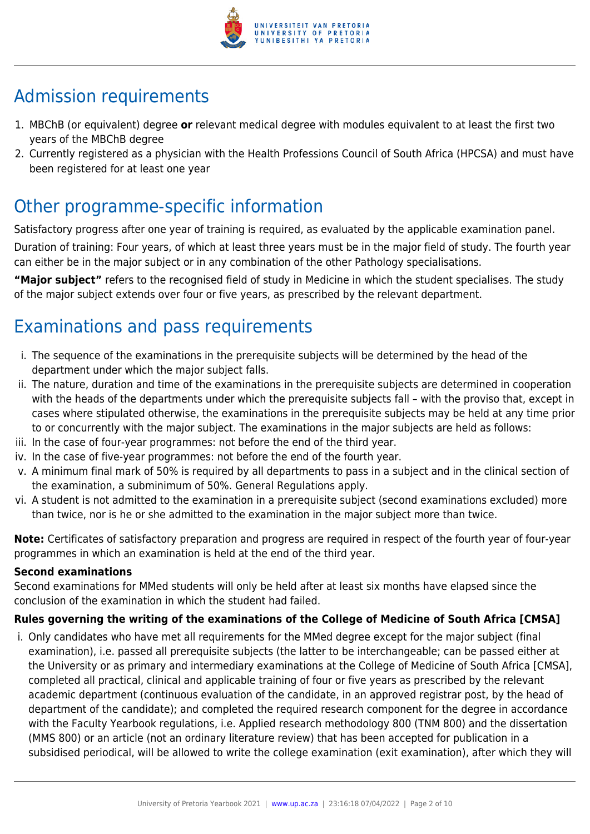

## Admission requirements

- 1. MBChB (or equivalent) degree **or** relevant medical degree with modules equivalent to at least the first two years of the MBChB degree
- 2. Currently registered as a physician with the Health Professions Council of South Africa (HPCSA) and must have been registered for at least one year

## Other programme-specific information

Satisfactory progress after one year of training is required, as evaluated by the applicable examination panel. Duration of training: Four years, of which at least three years must be in the major field of study. The fourth year can either be in the major subject or in any combination of the other Pathology specialisations.

**"Major subject"** refers to the recognised field of study in Medicine in which the student specialises. The study of the major subject extends over four or five years, as prescribed by the relevant department.

## Examinations and pass requirements

- i. The sequence of the examinations in the prerequisite subjects will be determined by the head of the department under which the major subject falls.
- ii. The nature, duration and time of the examinations in the prerequisite subjects are determined in cooperation with the heads of the departments under which the prerequisite subjects fall – with the proviso that, except in cases where stipulated otherwise, the examinations in the prerequisite subjects may be held at any time prior to or concurrently with the major subject. The examinations in the major subjects are held as follows:
- iii. In the case of four-year programmes: not before the end of the third year.
- iv. In the case of five-year programmes: not before the end of the fourth year.
- v. A minimum final mark of 50% is required by all departments to pass in a subject and in the clinical section of the examination, a subminimum of 50%. General Regulations apply.
- vi. A student is not admitted to the examination in a prerequisite subject (second examinations excluded) more than twice, nor is he or she admitted to the examination in the major subject more than twice.

**Note:** Certificates of satisfactory preparation and progress are required in respect of the fourth year of four-year programmes in which an examination is held at the end of the third year.

#### **Second examinations**

Second examinations for MMed students will only be held after at least six months have elapsed since the conclusion of the examination in which the student had failed.

#### **Rules governing the writing of the examinations of the College of Medicine of South Africa [CMSA]**

i. Only candidates who have met all requirements for the MMed degree except for the major subject (final examination), i.e. passed all prerequisite subjects (the latter to be interchangeable; can be passed either at the University or as primary and intermediary examinations at the College of Medicine of South Africa [CMSA], completed all practical, clinical and applicable training of four or five years as prescribed by the relevant academic department (continuous evaluation of the candidate, in an approved registrar post, by the head of department of the candidate); and completed the required research component for the degree in accordance with the Faculty Yearbook regulations, i.e. Applied research methodology 800 (TNM 800) and the dissertation (MMS 800) or an article (not an ordinary literature review) that has been accepted for publication in a subsidised periodical, will be allowed to write the college examination (exit examination), after which they will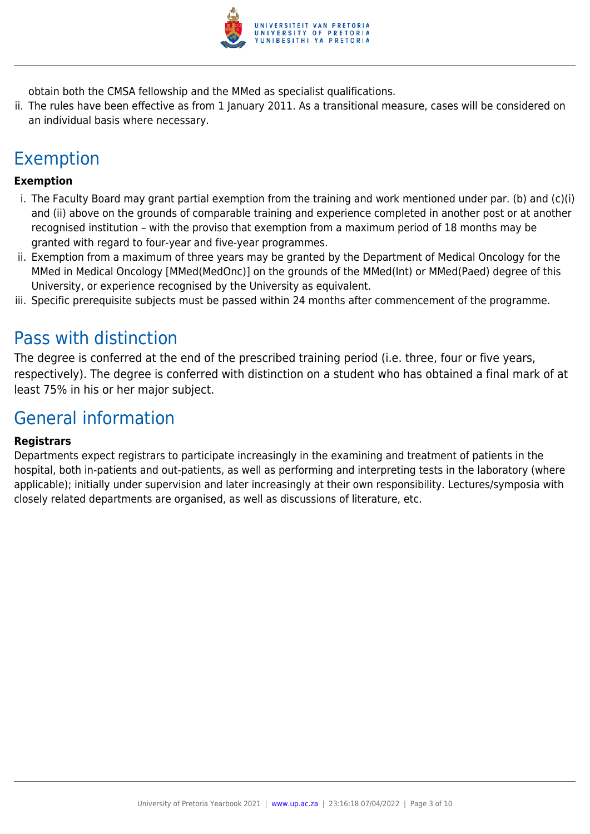

obtain both the CMSA fellowship and the MMed as specialist qualifications.

ii. The rules have been effective as from 1 January 2011. As a transitional measure, cases will be considered on an individual basis where necessary.

## Exemption

#### **Exemption**

- i. The Faculty Board may grant partial exemption from the training and work mentioned under par. (b) and (c)(i) and (ii) above on the grounds of comparable training and experience completed in another post or at another recognised institution – with the proviso that exemption from a maximum period of 18 months may be granted with regard to four-year and five-year programmes.
- ii. Exemption from a maximum of three years may be granted by the Department of Medical Oncology for the MMed in Medical Oncology [MMed(MedOnc)] on the grounds of the MMed(Int) or MMed(Paed) degree of this University, or experience recognised by the University as equivalent.
- iii. Specific prerequisite subjects must be passed within 24 months after commencement of the programme.

### Pass with distinction

The degree is conferred at the end of the prescribed training period (i.e. three, four or five years, respectively). The degree is conferred with distinction on a student who has obtained a final mark of at least 75% in his or her major subject.

### General information

#### **Registrars**

Departments expect registrars to participate increasingly in the examining and treatment of patients in the hospital, both in-patients and out-patients, as well as performing and interpreting tests in the laboratory (where applicable); initially under supervision and later increasingly at their own responsibility. Lectures/symposia with closely related departments are organised, as well as discussions of literature, etc.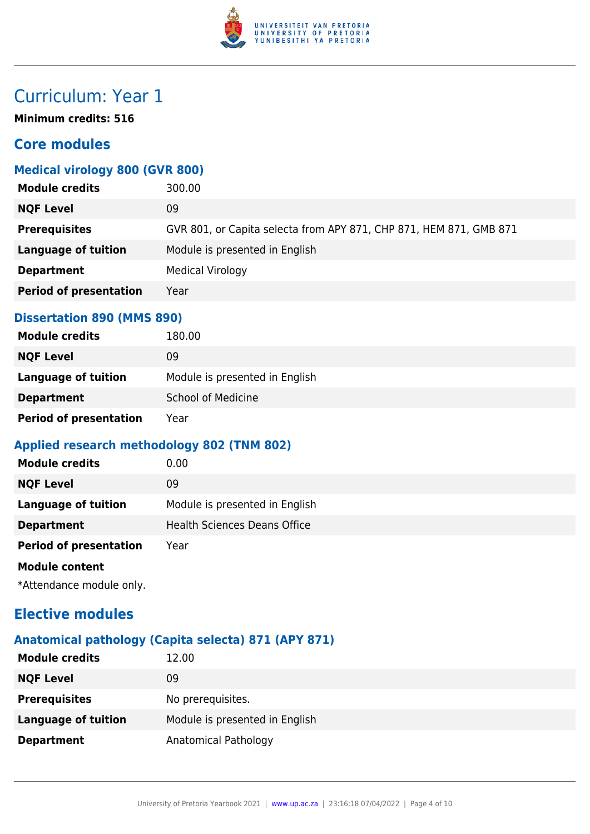

### Curriculum: Year 1

**Minimum credits: 516**

#### **Core modules**

#### **Medical virology 800 (GVR 800)**

| <b>Module credits</b>         | 300.00                                                             |
|-------------------------------|--------------------------------------------------------------------|
| <b>NQF Level</b>              | 09                                                                 |
| <b>Prerequisites</b>          | GVR 801, or Capita selecta from APY 871, CHP 871, HEM 871, GMB 871 |
| <b>Language of tuition</b>    | Module is presented in English                                     |
| <b>Department</b>             | <b>Medical Virology</b>                                            |
| <b>Period of presentation</b> | Year                                                               |
|                               |                                                                    |

#### **Dissertation 890 (MMS 890)**

| <b>Module credits</b>         | 180.00                         |
|-------------------------------|--------------------------------|
| <b>NQF Level</b>              | 09                             |
| Language of tuition           | Module is presented in English |
| <b>Department</b>             | <b>School of Medicine</b>      |
| <b>Period of presentation</b> | Year                           |

#### **Applied research methodology 802 (TNM 802)**

| <b>Module credits</b>         | 0.00                                |
|-------------------------------|-------------------------------------|
| <b>NQF Level</b>              | 09                                  |
| Language of tuition           | Module is presented in English      |
| <b>Department</b>             | <b>Health Sciences Deans Office</b> |
| <b>Period of presentation</b> | Year                                |
| <b>Module content</b>         |                                     |
|                               |                                     |

\*Attendance module only.

#### **Elective modules**

#### **Anatomical pathology (Capita selecta) 871 (APY 871)**

| <b>Module credits</b>      | 12.00                          |
|----------------------------|--------------------------------|
| <b>NQF Level</b>           | 09                             |
| <b>Prerequisites</b>       | No prerequisites.              |
| <b>Language of tuition</b> | Module is presented in English |
| <b>Department</b>          | Anatomical Pathology           |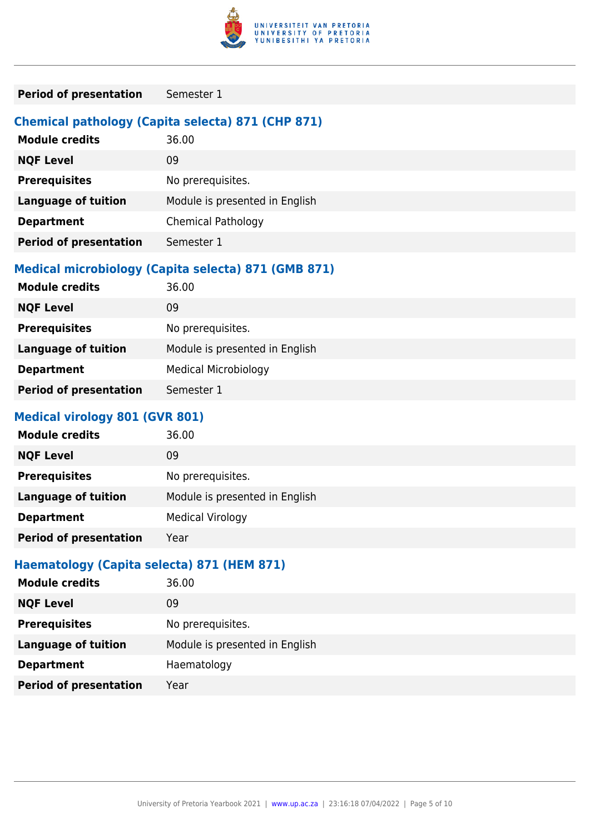

| <b>Period of presentation</b><br>Semester 1 |  |
|---------------------------------------------|--|
|---------------------------------------------|--|

#### **Chemical pathology (Capita selecta) 871 (CHP 871)**

| <b>Module credits</b>         | 36.00                          |
|-------------------------------|--------------------------------|
| <b>NQF Level</b>              | 09                             |
| <b>Prerequisites</b>          | No prerequisites.              |
| <b>Language of tuition</b>    | Module is presented in English |
| <b>Department</b>             | <b>Chemical Pathology</b>      |
| <b>Period of presentation</b> | Semester 1                     |

#### **Medical microbiology (Capita selecta) 871 (GMB 871)**

| <b>Module credits</b>         | 36.00                          |
|-------------------------------|--------------------------------|
| <b>NQF Level</b>              | 09                             |
| <b>Prerequisites</b>          | No prerequisites.              |
| <b>Language of tuition</b>    | Module is presented in English |
| <b>Department</b>             | <b>Medical Microbiology</b>    |
| <b>Period of presentation</b> | Semester 1                     |
|                               |                                |

#### **Medical virology 801 (GVR 801)**

| <b>Module credits</b>         | 36.00                          |
|-------------------------------|--------------------------------|
| <b>NQF Level</b>              | 09                             |
| <b>Prerequisites</b>          | No prerequisites.              |
| <b>Language of tuition</b>    | Module is presented in English |
| <b>Department</b>             | <b>Medical Virology</b>        |
| <b>Period of presentation</b> | Year                           |

#### **Haematology (Capita selecta) 871 (HEM 871)**

| <b>Module credits</b>         | 36.00                          |
|-------------------------------|--------------------------------|
| <b>NQF Level</b>              | 09                             |
| <b>Prerequisites</b>          | No prerequisites.              |
| <b>Language of tuition</b>    | Module is presented in English |
| <b>Department</b>             | Haematology                    |
| <b>Period of presentation</b> | Year                           |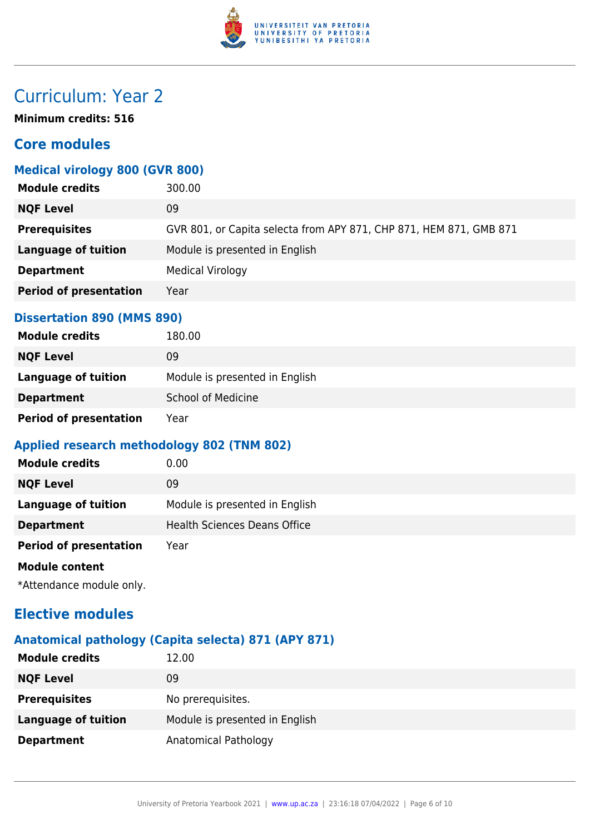

### Curriculum: Year 2

**Minimum credits: 516**

#### **Core modules**

#### **Medical virology 800 (GVR 800)**

| <b>Module credits</b>         | 300.00                                                             |
|-------------------------------|--------------------------------------------------------------------|
| <b>NQF Level</b>              | 09                                                                 |
| <b>Prerequisites</b>          | GVR 801, or Capita selecta from APY 871, CHP 871, HEM 871, GMB 871 |
| <b>Language of tuition</b>    | Module is presented in English                                     |
| <b>Department</b>             | <b>Medical Virology</b>                                            |
| <b>Period of presentation</b> | Year                                                               |
|                               |                                                                    |

#### **Dissertation 890 (MMS 890)**

| <b>Module credits</b>         | 180.00                         |
|-------------------------------|--------------------------------|
| <b>NQF Level</b>              | 09                             |
| Language of tuition           | Module is presented in English |
| <b>Department</b>             | <b>School of Medicine</b>      |
| <b>Period of presentation</b> | Year                           |

#### **Applied research methodology 802 (TNM 802)**

| <b>Module credits</b>         | 0.00                                |
|-------------------------------|-------------------------------------|
| <b>NQF Level</b>              | 09                                  |
| Language of tuition           | Module is presented in English      |
| <b>Department</b>             | <b>Health Sciences Deans Office</b> |
| <b>Period of presentation</b> | Year                                |
| <b>Module content</b>         |                                     |
|                               |                                     |

\*Attendance module only.

#### **Elective modules**

#### **Anatomical pathology (Capita selecta) 871 (APY 871)**

| <b>Module credits</b>      | 12.00                          |
|----------------------------|--------------------------------|
| <b>NQF Level</b>           | 09                             |
| <b>Prerequisites</b>       | No prerequisites.              |
| <b>Language of tuition</b> | Module is presented in English |
| <b>Department</b>          | Anatomical Pathology           |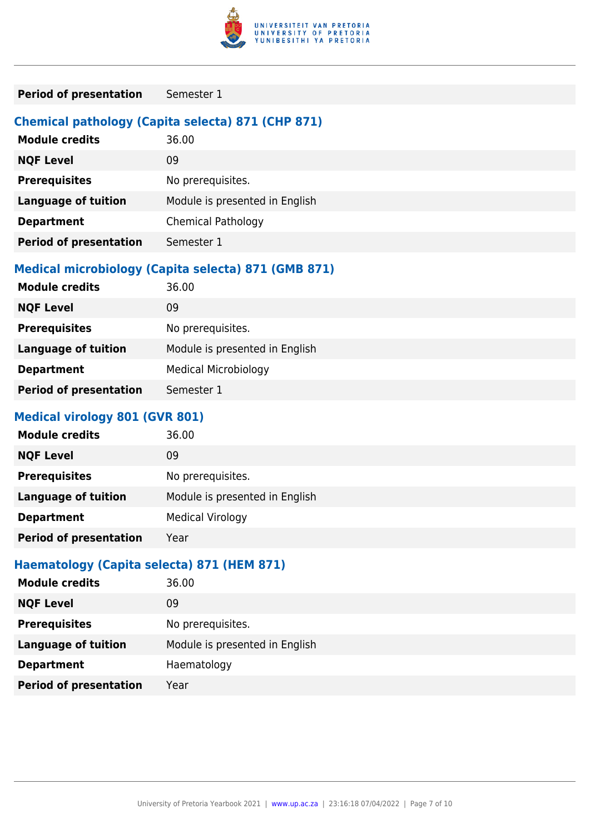

| <b>Period of presentation</b><br>Semester 1 |  |
|---------------------------------------------|--|
|---------------------------------------------|--|

#### **Chemical pathology (Capita selecta) 871 (CHP 871)**

| <b>Module credits</b>         | 36.00                          |
|-------------------------------|--------------------------------|
| <b>NQF Level</b>              | 09                             |
| <b>Prerequisites</b>          | No prerequisites.              |
| <b>Language of tuition</b>    | Module is presented in English |
| <b>Department</b>             | <b>Chemical Pathology</b>      |
| <b>Period of presentation</b> | Semester 1                     |

#### **Medical microbiology (Capita selecta) 871 (GMB 871)**

| <b>Module credits</b>         | 36.00                          |
|-------------------------------|--------------------------------|
| <b>NQF Level</b>              | 09                             |
| <b>Prerequisites</b>          | No prerequisites.              |
| <b>Language of tuition</b>    | Module is presented in English |
| <b>Department</b>             | <b>Medical Microbiology</b>    |
| <b>Period of presentation</b> | Semester 1                     |
|                               |                                |

#### **Medical virology 801 (GVR 801)**

| <b>Module credits</b>         | 36.00                          |
|-------------------------------|--------------------------------|
| <b>NQF Level</b>              | 09                             |
| <b>Prerequisites</b>          | No prerequisites.              |
| <b>Language of tuition</b>    | Module is presented in English |
| <b>Department</b>             | <b>Medical Virology</b>        |
| <b>Period of presentation</b> | Year                           |

#### **Haematology (Capita selecta) 871 (HEM 871)**

| <b>Module credits</b>         | 36.00                          |
|-------------------------------|--------------------------------|
| <b>NQF Level</b>              | 09                             |
| <b>Prerequisites</b>          | No prerequisites.              |
| <b>Language of tuition</b>    | Module is presented in English |
| <b>Department</b>             | Haematology                    |
| <b>Period of presentation</b> | Year                           |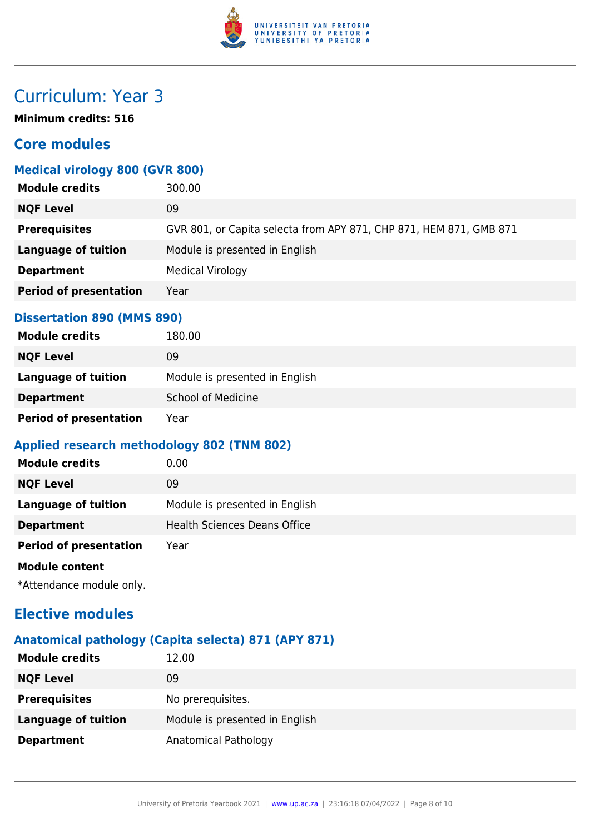

### Curriculum: Year 3

**Minimum credits: 516**

#### **Core modules**

#### **Medical virology 800 (GVR 800)**

| <b>Module credits</b>         | 300.00                                                             |
|-------------------------------|--------------------------------------------------------------------|
| <b>NQF Level</b>              | 09                                                                 |
| <b>Prerequisites</b>          | GVR 801, or Capita selecta from APY 871, CHP 871, HEM 871, GMB 871 |
| <b>Language of tuition</b>    | Module is presented in English                                     |
| <b>Department</b>             | <b>Medical Virology</b>                                            |
| <b>Period of presentation</b> | Year                                                               |
|                               |                                                                    |

#### **Dissertation 890 (MMS 890)**

| <b>Module credits</b>         | 180.00                         |
|-------------------------------|--------------------------------|
| <b>NQF Level</b>              | 09                             |
| Language of tuition           | Module is presented in English |
| <b>Department</b>             | <b>School of Medicine</b>      |
| <b>Period of presentation</b> | Year                           |

#### **Applied research methodology 802 (TNM 802)**

| <b>Module credits</b>         | 0.00                                |
|-------------------------------|-------------------------------------|
| <b>NQF Level</b>              | 09                                  |
| Language of tuition           | Module is presented in English      |
| <b>Department</b>             | <b>Health Sciences Deans Office</b> |
| <b>Period of presentation</b> | Year                                |
| <b>Module content</b>         |                                     |
|                               |                                     |

\*Attendance module only.

#### **Elective modules**

#### **Anatomical pathology (Capita selecta) 871 (APY 871)**

| <b>Module credits</b>      | 12.00                          |
|----------------------------|--------------------------------|
| <b>NQF Level</b>           | 09                             |
| <b>Prerequisites</b>       | No prerequisites.              |
| <b>Language of tuition</b> | Module is presented in English |
| <b>Department</b>          | Anatomical Pathology           |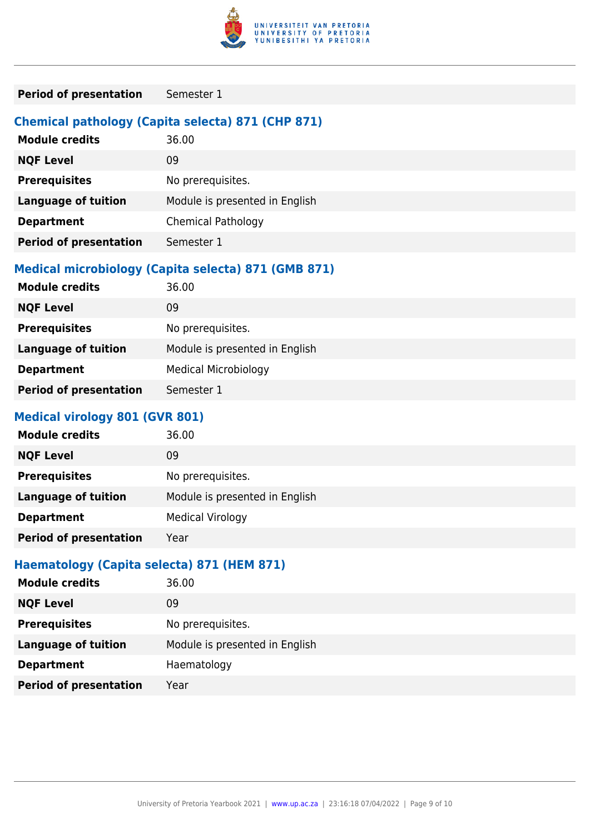

| <b>Period of presentation</b><br>Semester 1 |  |
|---------------------------------------------|--|
|---------------------------------------------|--|

#### **Chemical pathology (Capita selecta) 871 (CHP 871)**

| <b>Module credits</b>         | 36.00                          |
|-------------------------------|--------------------------------|
| <b>NQF Level</b>              | 09                             |
| <b>Prerequisites</b>          | No prerequisites.              |
| <b>Language of tuition</b>    | Module is presented in English |
| <b>Department</b>             | <b>Chemical Pathology</b>      |
| <b>Period of presentation</b> | Semester 1                     |

#### **Medical microbiology (Capita selecta) 871 (GMB 871)**

| <b>Module credits</b>         | 36.00                          |
|-------------------------------|--------------------------------|
| <b>NQF Level</b>              | 09                             |
| <b>Prerequisites</b>          | No prerequisites.              |
| <b>Language of tuition</b>    | Module is presented in English |
| <b>Department</b>             | <b>Medical Microbiology</b>    |
| <b>Period of presentation</b> | Semester 1                     |
|                               |                                |

#### **Medical virology 801 (GVR 801)**

| <b>Module credits</b>         | 36.00                          |
|-------------------------------|--------------------------------|
| <b>NQF Level</b>              | 09                             |
| <b>Prerequisites</b>          | No prerequisites.              |
| <b>Language of tuition</b>    | Module is presented in English |
| <b>Department</b>             | <b>Medical Virology</b>        |
| <b>Period of presentation</b> | Year                           |

#### **Haematology (Capita selecta) 871 (HEM 871)**

| <b>Module credits</b>         | 36.00                          |
|-------------------------------|--------------------------------|
| <b>NQF Level</b>              | 09                             |
| <b>Prerequisites</b>          | No prerequisites.              |
| <b>Language of tuition</b>    | Module is presented in English |
| <b>Department</b>             | Haematology                    |
| <b>Period of presentation</b> | Year                           |